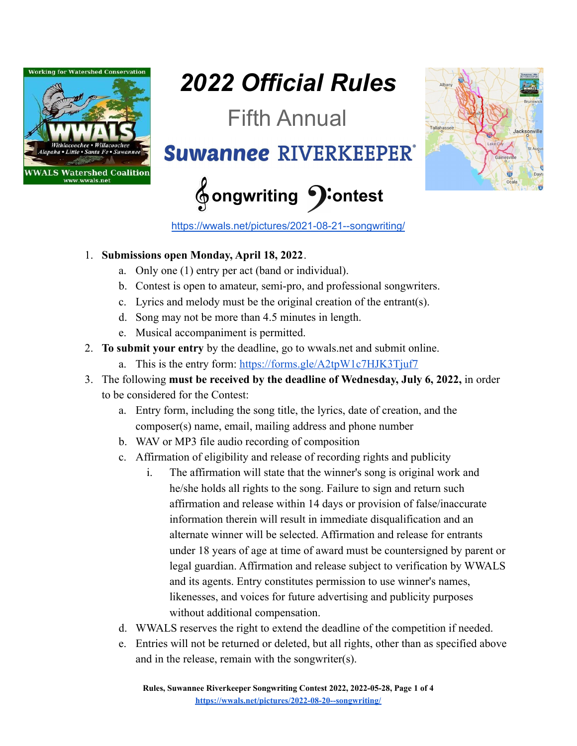

## *2022 Official Rules*

Fifth Annual

**Suwannee RIVERKEEPER** 

## **ongwriting ontest**



<https://wwals.net/pictures/2021-08-21--songwriting/>

## 1. **Submissions open Monday, April 18, 2022**.

- a. Only one (1) entry per act (band or individual).
- b. Contest is open to amateur, semi-pro, and professional songwriters.
- c. Lyrics and melody must be the original creation of the entrant(s).
- d. Song may not be more than 4.5 minutes in length.
- e. Musical accompaniment is permitted.
- 2. **To submit your entry** by the deadline, go to wwals.net and submit online.
	- a. This is the entry form: <https://forms.gle/A2tpW1c7HJK3Tjuf7>
- 3. The following **must be received by the deadline of Wednesday, July 6, 2022,** in order to be considered for the Contest:
	- a. Entry form, including the song title, the lyrics, date of creation, and the composer(s) name, email, mailing address and phone number
	- b. WAV or MP3 file audio recording of composition
	- c. Affirmation of eligibility and release of recording rights and publicity
		- i. The affirmation will state that the winner's song is original work and he/she holds all rights to the song. Failure to sign and return such affirmation and release within 14 days or provision of false/inaccurate information therein will result in immediate disqualification and an alternate winner will be selected. Affirmation and release for entrants under 18 years of age at time of award must be countersigned by parent or legal guardian. Affirmation and release subject to verification by WWALS and its agents. Entry constitutes permission to use winner's names, likenesses, and voices for future advertising and publicity purposes without additional compensation.
	- d. WWALS reserves the right to extend the deadline of the competition if needed.
	- e. Entries will not be returned or deleted, but all rights, other than as specified above and in the release, remain with the songwriter(s).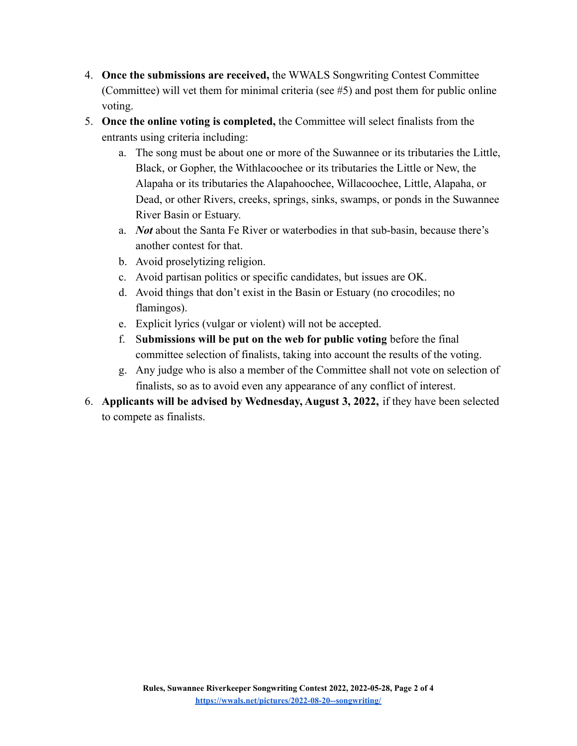- 4. **Once the submissions are received,** the WWALS Songwriting Contest Committee (Committee) will vet them for minimal criteria (see #5) and post them for public online voting.
- 5. **Once the online voting is completed,** the Committee will select finalists from the entrants using criteria including:
	- a. The song must be about one or more of the Suwannee or its tributaries the Little, Black, or Gopher, the Withlacoochee or its tributaries the Little or New, the Alapaha or its tributaries the Alapahoochee, Willacoochee, Little, Alapaha, or Dead, or other Rivers, creeks, springs, sinks, swamps, or ponds in the Suwannee River Basin or Estuary.
	- a. *Not* about the Santa Fe River or waterbodies in that sub-basin, because there's another contest for that.
	- b. Avoid proselytizing religion.
	- c. Avoid partisan politics or specific candidates, but issues are OK.
	- d. Avoid things that don't exist in the Basin or Estuary (no crocodiles; no flamingos).
	- e. Explicit lyrics (vulgar or violent) will not be accepted.
	- f. S**ubmissions will be put on the web for public voting** before the final committee selection of finalists, taking into account the results of the voting.
	- g. Any judge who is also a member of the Committee shall not vote on selection of finalists, so as to avoid even any appearance of any conflict of interest.
- 6. **Applicants will be advised by Wednesday, August 3, 2022,** if they have been selected to compete as finalists.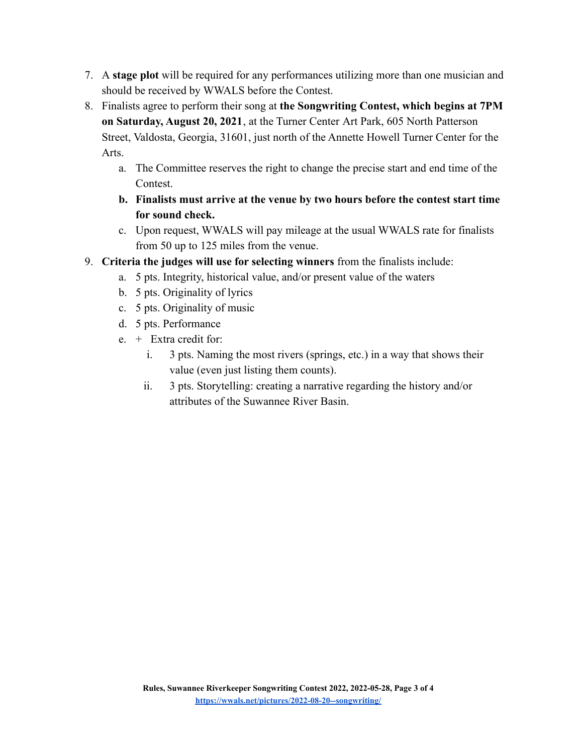- 7. A **stage plot** will be required for any performances utilizing more than one musician and should be received by WWALS before the Contest.
- 8. Finalists agree to perform their song at **the Songwriting Contest, which begins at 7PM on Saturday, August 20, 2021**, at the Turner Center Art Park, 605 North Patterson Street, Valdosta, Georgia, 31601, just north of the Annette Howell Turner Center for the Arts.
	- a. The Committee reserves the right to change the precise start and end time of the Contest.
	- **b. Finalists must arrive at the venue by two hours before the contest start time for sound check.**
	- c. Upon request, WWALS will pay mileage at the usual WWALS rate for finalists from 50 up to 125 miles from the venue.
- 9. **Criteria the judges will use for selecting winners** from the finalists include:
	- a. 5 pts. Integrity, historical value, and/or present value of the waters
	- b. 5 pts. Originality of lyrics
	- c. 5 pts. Originality of music
	- d. 5 pts. Performance
	- e. + Extra credit for:
		- i. 3 pts. Naming the most rivers (springs, etc.) in a way that shows their value (even just listing them counts).
		- ii. 3 pts. Storytelling: creating a narrative regarding the history and/or attributes of the Suwannee River Basin.